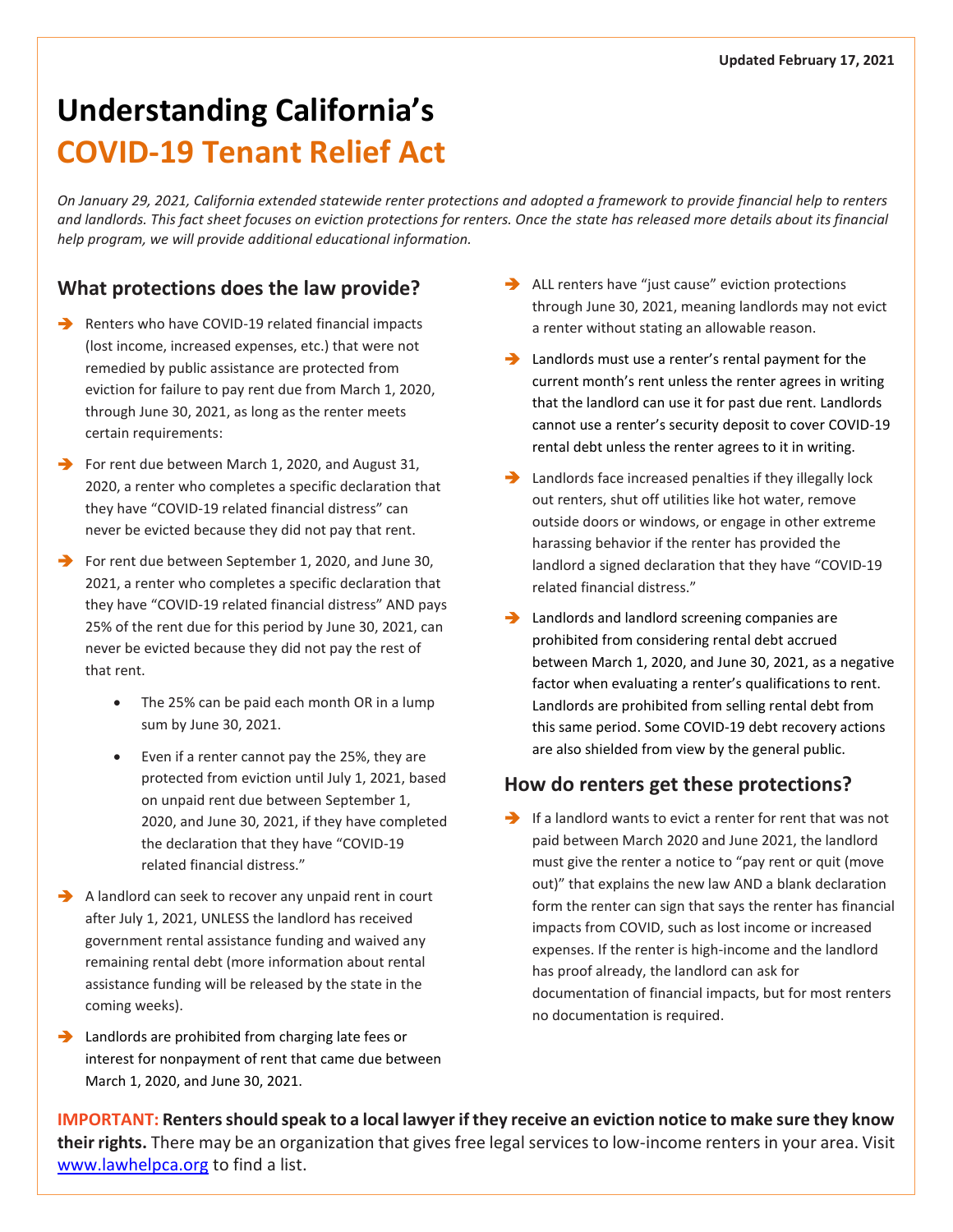# **Understanding California's COVID-19 Tenant Relief Act**

*On January 29, 2021, California extended statewide renter protections and adopted a framework to provide financial help to renters and landlords. This fact sheet focuses on eviction protections for renters. Once the state has released more details about its financial help program, we will provide additional educational information.*

# **What protections does the law provide?**

- $\rightarrow$  Renters who have COVID-19 related financial impacts (lost income, increased expenses, etc.) that were not remedied by public assistance are protected from eviction for failure to pay rent due from March 1, 2020, through June 30, 2021, as long as the renter meets certain requirements:
- For rent due between March 1, 2020, and August 31, 2020, a renter who completes a specific declaration that they have "COVID-19 related financial distress" can never be evicted because they did not pay that rent.
- $\rightarrow$  For rent due between September 1, 2020, and June 30, 2021, a renter who completes a specific declaration that they have "COVID-19 related financial distress" AND pays 25% of the rent due for this period by June 30, 2021, can never be evicted because they did not pay the rest of that rent.
	- The 25% can be paid each month OR in a lump sum by June 30, 2021.
	- Even if a renter cannot pay the 25%, they are protected from eviction until July 1, 2021, based on unpaid rent due between September 1, 2020, and June 30, 2021, if they have completed the declaration that they have "COVID-19 related financial distress."
- $\rightarrow$  A landlord can seek to recover any unpaid rent in court after July 1, 2021, UNLESS the landlord has received government rental assistance funding and waived any remaining rental debt (more information about rental assistance funding will be released by the state in the coming weeks).
- Landlords are prohibited from charging late fees or interest for nonpayment of rent that came due between March 1, 2020, and June 30, 2021.
- ALL renters have "just cause" eviction protections through June 30, 2021, meaning landlords may not evict a renter without stating an allowable reason.
- **EXECUTE:** Landlords must use a renter's rental payment for the current month's rent unless the renter agrees in writing that the landlord can use it for past due rent. Landlords cannot use a renter's security deposit to cover COVID-19 rental debt unless the renter agrees to it in writing.
- Landlords face increased penalties if they illegally lock out renters, shut off utilities like hot water, remove outside doors or windows, or engage in other extreme harassing behavior if the renter has provided the landlord a signed declaration that they have "COVID-19 related financial distress."
- **EXECUTE:** Landlords and landlord screening companies are prohibited from considering rental debt accrued between March 1, 2020, and June 30, 2021, as a negative factor when evaluating a renter's qualifications to rent. Landlords are prohibited from selling rental debt from this same period. Some COVID-19 debt recovery actions are also shielded from view by the general public.

# **How do renters get these protections?**

 $\rightarrow$  If a landlord wants to evict a renter for rent that was not paid between March 2020 and June 2021, the landlord must give the renter a notice to "pay rent or quit (move out)" that explains the new law AND a blank declaration form the renter can sign that says the renter has financial impacts from COVID, such as lost income or increased expenses. If the renter is high-income and the landlord has proof already, the landlord can ask for documentation of financial impacts, but for most renters no documentation is required.

**IMPORTANT: Renters should speak to a local lawyer if they receive an eviction notice to make sure they know their rights.** There may be an organization that gives free legal services to low-income renters in your area. Visit [www.lawhelpca.org](http://www.lawhelpca.org/) to find a list.